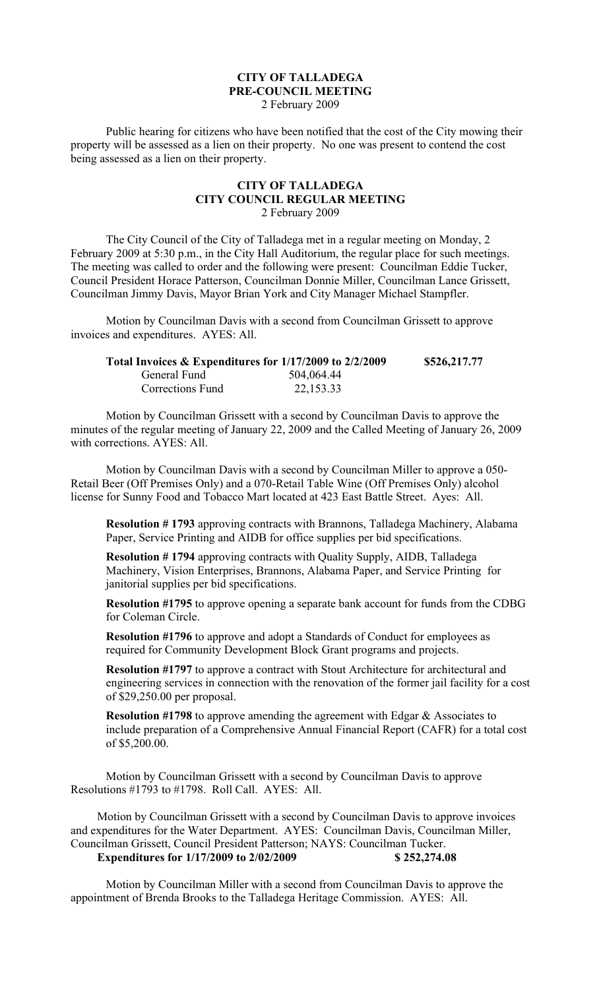## **CITY OF TALLADEGA PRE-COUNCIL MEETING** 2 February 2009

Public hearing for citizens who have been notified that the cost of the City mowing their property will be assessed as a lien on their property. No one was present to contend the cost being assessed as a lien on their property.

## **CITY OF TALLADEGA CITY COUNCIL REGULAR MEETING** 2 February 2009

The City Council of the City of Talladega met in a regular meeting on Monday, 2 February 2009 at 5:30 p.m., in the City Hall Auditorium, the regular place for such meetings. The meeting was called to order and the following were present: Councilman Eddie Tucker, Council President Horace Patterson, Councilman Donnie Miller, Councilman Lance Grissett, Councilman Jimmy Davis, Mayor Brian York and City Manager Michael Stampfler.

Motion by Councilman Davis with a second from Councilman Grissett to approve invoices and expenditures. AYES: All.

| Total Invoices & Expenditures for 1/17/2009 to 2/2/2009 |            | \$526,217.77 |
|---------------------------------------------------------|------------|--------------|
| General Fund                                            | 504,064.44 |              |
| Corrections Fund                                        | 22,153.33  |              |

Motion by Councilman Grissett with a second by Councilman Davis to approve the minutes of the regular meeting of January 22, 2009 and the Called Meeting of January 26, 2009 with corrections. AYES: All.

Motion by Councilman Davis with a second by Councilman Miller to approve a 050- Retail Beer (Off Premises Only) and a 070-Retail Table Wine (Off Premises Only) alcohol license for Sunny Food and Tobacco Mart located at 423 East Battle Street. Ayes: All.

**Resolution # 1793** approving contracts with Brannons, Talladega Machinery, Alabama Paper, Service Printing and AIDB for office supplies per bid specifications.

**Resolution # 1794** approving contracts with Quality Supply, AIDB, Talladega Machinery, Vision Enterprises, Brannons, Alabama Paper, and Service Printing for janitorial supplies per bid specifications.

**Resolution #1795** to approve opening a separate bank account for funds from the CDBG for Coleman Circle.

**Resolution #1796** to approve and adopt a Standards of Conduct for employees as required for Community Development Block Grant programs and projects.

**Resolution #1797** to approve a contract with Stout Architecture for architectural and engineering services in connection with the renovation of the former jail facility for a cost of \$29,250.00 per proposal.

**Resolution #1798** to approve amending the agreement with Edgar & Associates to include preparation of a Comprehensive Annual Financial Report (CAFR) for a total cost of \$5,200.00.

Motion by Councilman Grissett with a second by Councilman Davis to approve Resolutions #1793 to #1798. Roll Call. AYES: All.

Motion by Councilman Grissett with a second by Councilman Davis to approve invoices and expenditures for the Water Department. AYES: Councilman Davis, Councilman Miller, Councilman Grissett, Council President Patterson; NAYS: Councilman Tucker. **Expenditures for 1/17/2009 to 2/02/2009 \$252,274.08** 

Motion by Councilman Miller with a second from Councilman Davis to approve the appointment of Brenda Brooks to the Talladega Heritage Commission. AYES: All.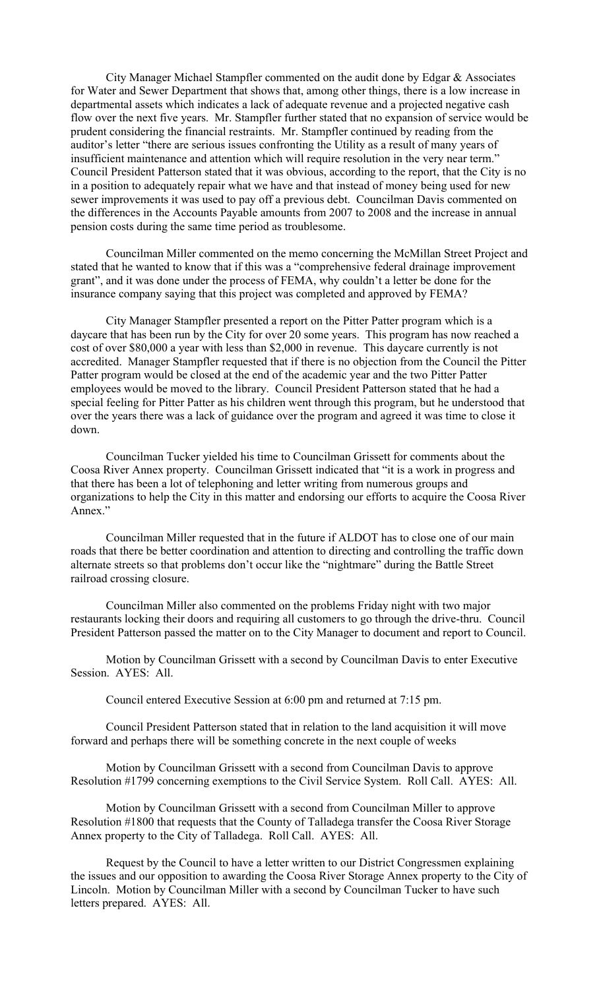City Manager Michael Stampfler commented on the audit done by Edgar & Associates for Water and Sewer Department that shows that, among other things, there is a low increase in departmental assets which indicates a lack of adequate revenue and a projected negative cash flow over the next five years. Mr. Stampfler further stated that no expansion of service would be prudent considering the financial restraints. Mr. Stampfler continued by reading from the auditor's letter "there are serious issues confronting the Utility as a result of many years of insufficient maintenance and attention which will require resolution in the very near term." Council President Patterson stated that it was obvious, according to the report, that the City is no in a position to adequately repair what we have and that instead of money being used for new sewer improvements it was used to pay off a previous debt. Councilman Davis commented on the differences in the Accounts Payable amounts from 2007 to 2008 and the increase in annual pension costs during the same time period as troublesome.

Councilman Miller commented on the memo concerning the McMillan Street Project and stated that he wanted to know that if this was a "comprehensive federal drainage improvement grant", and it was done under the process of FEMA, why couldn't a letter be done for the insurance company saying that this project was completed and approved by FEMA?

City Manager Stampfler presented a report on the Pitter Patter program which is a daycare that has been run by the City for over 20 some years. This program has now reached a cost of over \$80,000 a year with less than \$2,000 in revenue. This daycare currently is not accredited. Manager Stampfler requested that if there is no objection from the Council the Pitter Patter program would be closed at the end of the academic year and the two Pitter Patter employees would be moved to the library. Council President Patterson stated that he had a special feeling for Pitter Patter as his children went through this program, but he understood that over the years there was a lack of guidance over the program and agreed it was time to close it down.

Councilman Tucker yielded his time to Councilman Grissett for comments about the Coosa River Annex property. Councilman Grissett indicated that "it is a work in progress and that there has been a lot of telephoning and letter writing from numerous groups and organizations to help the City in this matter and endorsing our efforts to acquire the Coosa River Annex."

Councilman Miller requested that in the future if ALDOT has to close one of our main roads that there be better coordination and attention to directing and controlling the traffic down alternate streets so that problems don't occur like the "nightmare" during the Battle Street railroad crossing closure.

Councilman Miller also commented on the problems Friday night with two major restaurants locking their doors and requiring all customers to go through the drive-thru. Council President Patterson passed the matter on to the City Manager to document and report to Council.

Motion by Councilman Grissett with a second by Councilman Davis to enter Executive Session. AYES: All.

Council entered Executive Session at 6:00 pm and returned at 7:15 pm.

Council President Patterson stated that in relation to the land acquisition it will move forward and perhaps there will be something concrete in the next couple of weeks

Motion by Councilman Grissett with a second from Councilman Davis to approve Resolution #1799 concerning exemptions to the Civil Service System. Roll Call. AYES: All.

Motion by Councilman Grissett with a second from Councilman Miller to approve Resolution #1800 that requests that the County of Talladega transfer the Coosa River Storage Annex property to the City of Talladega. Roll Call. AYES: All.

Request by the Council to have a letter written to our District Congressmen explaining the issues and our opposition to awarding the Coosa River Storage Annex property to the City of Lincoln. Motion by Councilman Miller with a second by Councilman Tucker to have such letters prepared. AYES: All.